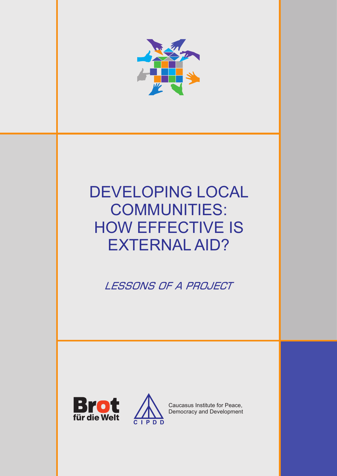

# DEVELOPING LOCAL COMMUNITIES: HOW EFFECTIVE IS EXTERNAL AID?

LESSONS OF A PROJECT





Caucasus Institute for Peace, Democracy and Development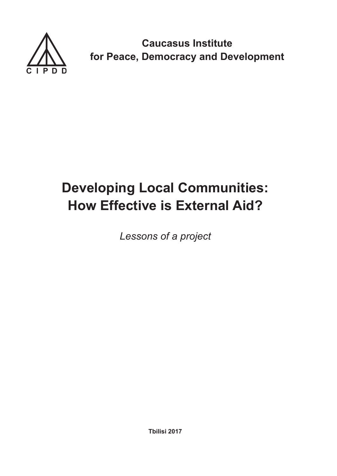

**Caucasus Institute for Peace, Democracy and Development**

# **Developing Local Communities: How Effective is External Aid?**

*Lessons of a project*

**Tbilisi 2017**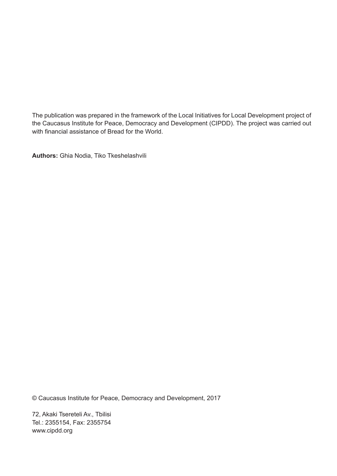The publication was prepared in the framework of the Local Initiatives for Local Development project of the Caucasus Institute for Peace, Democracy and Development (CIPDD). The project was carried out with financial assistance of Bread for the World.

**Authors:** Ghia Nodia, Tiko Tkeshelashvili

© Caucasus Institute for Peace, Democracy and Development, 2017

72, Akaki Tsereteli Av., Tbilisi Tel.: 2355154, Fax: 2355754 www.cipdd.org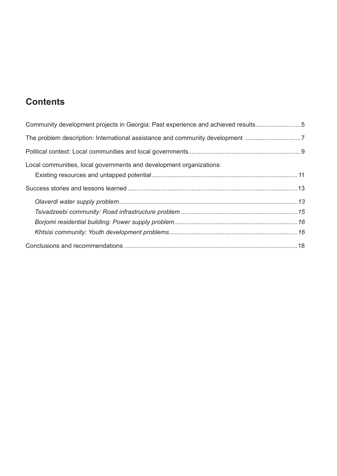# **Contents**

| Community development projects in Georgia: Past experience and achieved results5 |  |
|----------------------------------------------------------------------------------|--|
| The problem description: International assistance and community development 7    |  |
|                                                                                  |  |
| Local communities, local governments and development organizations:              |  |
|                                                                                  |  |
|                                                                                  |  |
|                                                                                  |  |
|                                                                                  |  |
|                                                                                  |  |
|                                                                                  |  |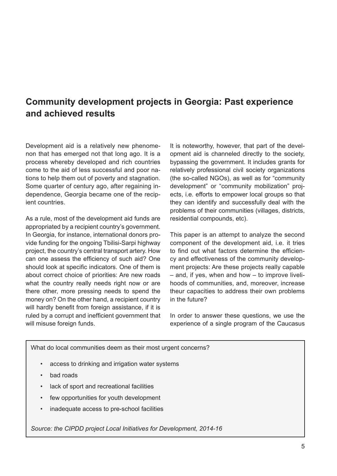## <span id="page-5-0"></span>**Community development projects in Georgia: Past experience and achieved results**

Development aid is a relatively new phenomenon that has emerged not that long ago. It is a process whereby developed and rich countries come to the aid of less successful and poor nations to help them out of poverty and stagnation. Some quarter of century ago, after regaining independence, Georgia became one of the recipient countries.

As a rule, most of the development aid funds are appropriated by a recipient country's government. In Georgia, for instance, international donors provide funding for the ongoing Tbilisi-Sarpi highway project, the country's central transport artery. How can one assess the efficiency of such aid? One should look at specific indicators. One of them is about correct choice of priorities: Are new roads what the country really needs right now or are there other, more pressing needs to spend the money on? On the other hand, a recipient country will hardly benefit from foreign assistance, if it is ruled by a corrupt and inefficient government that will misuse foreign funds.

It is noteworthy, however, that part of the development aid is channeled directly to the society, bypassing the government. It includes grants for relatively professional civil society organizations (the so-called NGOs), as well as for "community development" or "community mobilization" projects, i.e. efforts to empower local groups so that they can identify and successfully deal with the problems of their communities (villages, districts, residential compounds, etc).

This paper is an attempt to analyze the second component of the development aid, i.e. it tries to find out what factors determine the efficiency and effectiveness of the community development projects: Are these projects really capable – and, if yes, when and how – to improve livelihoods of communities, and, moreover, increase theur capacities to address their own problems in the future?

In order to answer these questions, we use the experience of a single program of the Caucasus

What do local communities deem as their most urgent concerns?

- access to drinking and irrigation water systems
- bad roads
- lack of sport and recreational facilities
- few opportunities for youth development
- inadequate access to pre-school facilities

*Source: the CIPDD project Local Initiatives for Development, 2014-16*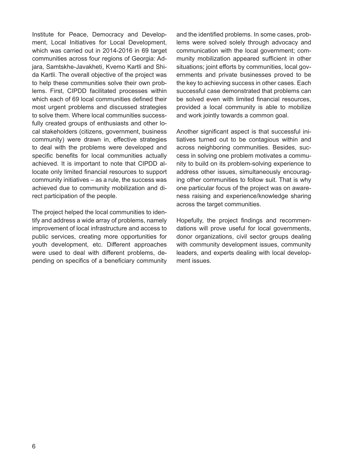Institute for Peace, Democracy and Development, Local Initiatives for Local Development, which was carried out in 2014-2016 in 69 target communities across four regions of Georgia: Adjara, Samtskhe-Javakheti, Kvemo Kartli and Shida Kartli. The overall objective of the project was to help these communities solve their own problems. First, CIPDD facilitated processes within which each of 69 local communities defined their most urgent problems and discussed strategies to solve them. Where local communities successfully created groups of enthusiasts and other local stakeholders (citizens, government, business community) were drawn in, effective strategies to deal with the problems were developed and specific benefits for local communities actually achieved. It is important to note that CIPDD allocate only limited financial resources to support community initiatives – as a rule, the success was achieved due to community mobilization and direct participation of the people.

The project helped the local communities to identify and address a wide array of problems, namely improvement of local infrastructure and access to public services, creating more opportunities for youth development, etc. Different approaches were used to deal with different problems, depending on specifics of a beneficiary community

and the identified problems. In some cases, problems were solved solely through advocacy and communication with the local government; community mobilization appeared sufficient in other situations; joint efforts by communities, local governments and private businesses proved to be the key to achieving success in other cases. Each successful case demonstrated that problems can be solved even with limited financial resources, provided a local community is able to mobilize and work jointly towards a common goal.

Another significant aspect is that successful initiatives turned out to be contagious within and across neighboring communities. Besides, success in solving one problem motivates a community to build on its problem-solving experience to address other issues, simultaneously encouraging other communities to follow suit. That is why one particular focus of the project was on awareness raising and experience/knowledge sharing across the target communities.

Hopefully, the project findings and recommendations will prove useful for local governments, donor organizations, civil sector groups dealing with community development issues, community leaders, and experts dealing with local development issues.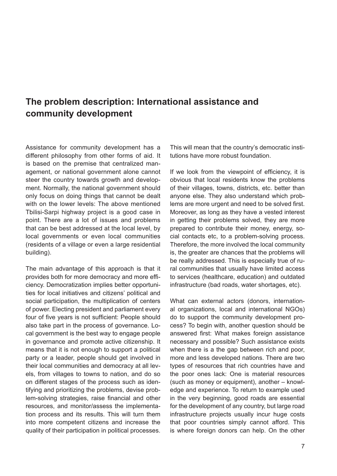## <span id="page-7-0"></span>**The problem description: International assistance and community development**

Assistance for community development has a different philosophy from other forms of aid. It is based on the premise that centralized management, or national government alone cannot steer the country towards growth and development. Normally, the national government should only focus on doing things that cannot be dealt with on the lower levels: The above mentioned Tbilisi-Sarpi highway project is a good case in point. There are a lot of issues and problems that can be best addressed at the local level, by local governments or even local communities (residents of a village or even a large residential building).

The main advantage of this approach is that it provides both for more democracy and more efficiency. Democratization implies better opportunities for local initiatives and citizens' political and social participation, the multiplication of centers of power. Electing president and parliament every four of five years is not sufficient: People should also take part in the process of governance. Local government is the best way to engage people in governance and promote active citizenship. It means that it is not enough to support a political party or a leader, people should get involved in their local communities and democracy at all levels, from villages to towns to nation, and do so on different stages of the process such as identifying and prioritizing the problems, devise problem-solving strategies, raise financial and other resources, and monitor/assess the implementation process and its results. This will turn them into more competent citizens and increase the quality of their participation in political processes.

This will mean that the country's democratic institutions have more robust foundation.

If we look from the viewpoint of efficiency, it is obvious that local residents know the problems of their villages, towns, districts, etc. better than anyone else. They also understand which problems are more urgent and need to be solved first. Moreover, as long as they have a vested interest in getting their problems solved, they are more prepared to contribute their money, energy, social contacts etc, to a problem-solving process. Therefore, the more involved the local community is, the greater are chances that the problems will be really addressed. This is especially true of rural communities that usually have limited access to services (healthcare, education) and outdated infrastructure (bad roads, water shortages, etc).

What can external actors (donors, international organizations, local and international NGOs) do to support the community development process? To begin with, another question should be answered first: What makes foreign assistance necessary and possible? Such assistance exists when there is a the gap between rich and poor, more and less developed nations. There are two types of resources that rich countries have and the poor ones lack: One is material resources (such as money or equipment), another – knowledge and experience. To return to example used in the very beginning, good roads are essential for the development of any country, but large road infrastructure projects usually incur huge costs that poor countries simply cannot afford. This is where foreign donors can help. On the other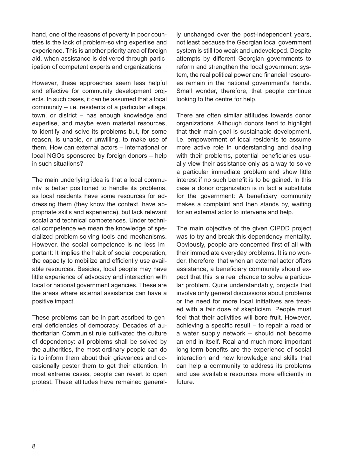hand, one of the reasons of poverty in poor countries is the lack of problem-solving expertise and experience. This is another priority area of foreign aid, when assistance is delivered through participation of competent experts and organizations.

However, these approaches seem less helpful and effective for community development projects. In such cases, it can be assumed that a local community – i.e. residents of a particular village, town, or district – has enough knowledge and expertise, and maybe even material resources, to identify and solve its problems but, for some reason, is unable, or unwilling, to make use of them. How can external actors – international or local NGOs sponsored by foreign donors – help in such situations?

The main underlying idea is that a local community is better positioned to handle its problems, as local residents have some resources for addressing them (they know the context, have appropriate skills and experience), but lack relevant social and technical competences. Under technical competence we mean the knowledge of specialized problem-solving tools and mechanisms. However, the social competence is no less important: It implies the habit of social cooperation, the capacity to mobilize and efficiently use available resources. Besides, local people may have little experience of advocacy and interaction with local or national government agencies. These are the areas where external assistance can have a positive impact.

These problems can be in part ascribed to general deficiencies of democracy. Decades of authoritarian Communist rule cultivated the culture of dependency: all problems shall be solved by the authorities, the most ordinary people can do is to inform them about their grievances and occasionally pester them to get their attention. In most extreme cases, people can revert to open protest. These attitudes have remained generally unchanged over the post-independent years, not least because the Georgian local government system is still too weak and undeveloped. Despite attempts by different Georgian governments to reform and strengthen the local government system, the real political power and financial resources remain in the national government's hands. Small wonder, therefore, that people continue looking to the centre for help.

There are often similar attitudes towards donor organizations. Although donors tend to highlight that their main goal is sustainable development, i.e. empowerment of local residents to assume more active role in understanding and dealing with their problems, potential beneficiaries usually view their assistance only as a way to solve a particular immediate problem and show little interest if no such benefit is to be gained. In this case a donor organization is in fact a substitute for the government: A beneficiary community makes a complaint and then stands by, waiting for an external actor to intervene and help.

The main objective of the given CIPDD project was to try and break this dependency mentality. Obviously, people are concerned first of all with their immediate everyday problems. It is no wonder, therefore, that when an external actor offers assistance, a beneficiary community should expect that this is a real chance to solve a particular problem. Quite understandably, projects that involve only general discussions about problems or the need for more local initiatives are treated with a fair dose of skepticism. People must feel that their activities will bore fruit. However, achieving a specific result – to repair a road or a water supply network – should not become an end in itself. Real and much more important long-term benefits are the experience of social interaction and new knowledge and skills that can help a community to address its problems and use available resources more efficiently in future.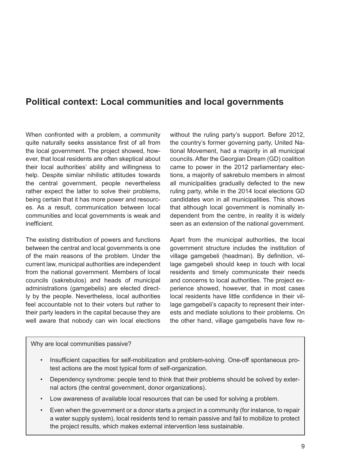## <span id="page-9-0"></span>**Political context: Local communities and local governments**

When confronted with a problem, a community quite naturally seeks assistance first of all from the local government. The project showed, however, that local residents are often skeptical about their local authorities' ability and willingness to help. Despite similar nihilistic attitudes towards the central government, people nevertheless rather expect the latter to solve their problems, being certain that it has more power and resources. As a result, communication between local communities and local governments is weak and inefficient.

The existing distribution of powers and functions between the central and local governments is one of the main reasons of the problem. Under the current law, municipal authorities are independent from the national government. Members of local councils (sakrebulos) and heads of municipal administrations (gamgebelis) are elected directly by the people. Nevertheless, local authorities feel accountable not to their voters but rather to their party leaders in the capital because they are well aware that nobody can win local elections

without the ruling party's support. Before 2012, the country's former governing party, United National Movement, had a majority in all municipal councils. After the Georgian Dream (GD) coalition came to power in the 2012 parliamentary elections, a majority of sakrebulo members in almost all municipalities gradually defected to the new ruling party, while in the 2014 local elections GD candidates won in all municipalities. This shows that although local government is nominally independent from the centre, in reality it is widely seen as an extension of the national government.

Apart from the municipal authorities, the local government structure includes the institution of village gamgebeli (headman). By definition, village gamgebeli should keep in touch with local residents and timely communicate their needs and concerns to local authorities. The project experience showed, however, that in most cases local residents have little confidence in their village gamgebeli's capacity to represent their interests and mediate solutions to their problems. On the other hand, village gamgebelis have few re-

Why are local communities passive?

- Insufficient capacities for self-mobilization and problem-solving. One-off spontaneous protest actions are the most typical form of self-organization.
- Dependency syndrome: people tend to think that their problems should be solved by external actors (the central government, donor organizations).
- Low awareness of available local resources that can be used for solving a problem.
- Even when the government or a donor starts a project in a community (for instance, to repair a water supply system), local residents tend to remain passive and fail to mobilize to protect the project results, which makes external intervention less sustainable.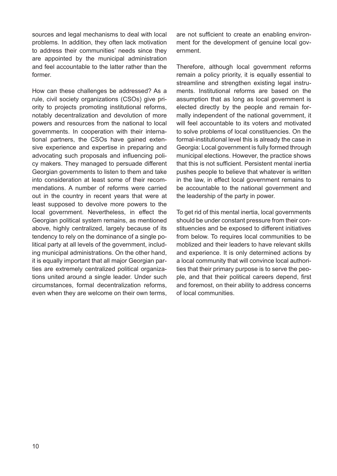sources and legal mechanisms to deal with local problems. In addition, they often lack motivation to address their communities' needs since they are appointed by the municipal administration and feel accountable to the latter rather than the former.

How can these challenges be addressed? As a rule, civil society organizations (CSOs) give priority to projects promoting institutional reforms, notably decentralization and devolution of more powers and resources from the national to local governments. In cooperation with their international partners, the CSOs have gained extensive experience and expertise in preparing and advocating such proposals and influencing policy makers. They managed to persuade different Georgian governments to listen to them and take into consideration at least some of their recommendations. A number of reforms were carried out in the country in recent years that were at least supposed to devolve more powers to the local government. Nevertheless, in effect the Georgian political system remains, as mentioned above, highly centralized, largely because of its tendency to rely on the dominance of a single political party at all levels of the government, including municipal administrations. On the other hand, it is equally important that all major Georgian parties are extremely centralized political organizations united around a single leader. Under such circumstances, formal decentralization reforms, even when they are welcome on their own terms,

are not sufficient to create an enabling environment for the development of genuine local government.

Therefore, although local government reforms remain a policy priority, it is equally essential to streamline and strengthen existing legal instruments. Institutional reforms are based on the assumption that as long as local government is elected directly by the people and remain formally independent of the national government, it will feel accountable to its voters and motivated to solve problems of local constituencies. On the formal-institutional level this is already the case in Georgia: Local government is fully formed through municipal elections. However, the practice shows that this is not sufficient. Persistent mental inertia pushes people to believe that whatever is written in the law, in effect local government remains to be accountable to the national government and the leadership of the party in power.

To get rid of this mental inertia, local governments should be under constant pressure from their constituencies and be exposed to different initiatives from below. To requires local communities to be moblized and their leaders to have relevant skills and experience. It is only determined actions by a local community that will convince local authorities that their primary purpose is to serve the people, and that their political careers depend, first and foremost, on their ability to address concerns of local communities.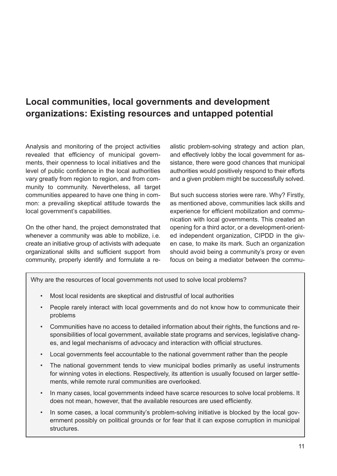# <span id="page-11-0"></span>**Local communities, local governments and development organizations: Existing resources and untapped potential**

Analysis and monitoring of the project activities revealed that efficiency of municipal governments, their openness to local initiatives and the level of public confidence in the local authorities vary greatly from region to region, and from community to community. Nevertheless, all target communities appeared to have one thing in common: a prevailing skeptical attitude towards the local government's capabilities.

On the other hand, the project demonstrated that whenever a community was able to mobilize, i.e. create an initiative group of activists with adequate organizational skills and sufficient support from community, properly identify and formulate a realistic problem-solving strategy and action plan, and effectively lobby the local government for assistance, there were good chances that municipal authorities would positively respond to their efforts and a given problem might be successfully solved.

But such success stories were rare. Why? Firstly, as mentioned above, communities lack skills and experience for efficient mobilization and communication with local governments. This created an opening for a third actor, or a development-oriented independent organization, CIPDD in the given case, to make its mark. Such an organization should avoid being a community's proxy or even focus on being a mediator between the commu-

Why are the resources of local governments not used to solve local problems?

- Most local residents are skeptical and distrustful of local authorities
- People rarely interact with local governments and do not know how to communicate their problems
- Communities have no access to detailed information about their rights, the functions and responsibilities of local government, available state programs and services, legislative changes, and legal mechanisms of advocacy and interaction with official structures.
- Local governments feel accountable to the national government rather than the people
- The national government tends to view municipal bodies primarily as useful instruments for winning votes in elections. Respectively, its attention is usually focused on larger settlements, while remote rural communities are overlooked.
- In many cases, local governments indeed have scarce resources to solve local problems. It does not mean, however, that the available resources are used efficiently.
- In some cases, a local community's problem-solving initiative is blocked by the local government possibly on political grounds or for fear that it can expose corruption in municipal structures.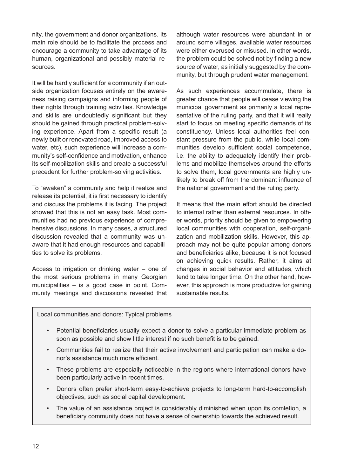nity, the government and donor organizations. Its main role should be to facilitate the process and encourage a community to take advantage of its human, organizational and possibly material resources.

It will be hardly sufficient for a community if an outside organization focuses entirely on the awareness raising campaigns and informing people of their rights through training activities. Knowledge and skills are undoubtedly significant but they should be gained through practical problem-solving experience. Apart from a specific result (a newly built or renovated road, improved access to water, etc), such experience will increase a community's self-confidence and motivation, enhance its self-mobilization skills and create a successful precedent for further problem-solving activities.

To "awaken" a community and help it realize and release its potential, it is first necessary to identify and discuss the problems it is facing. The project showed that this is not an easy task. Most communities had no previous experience of comprehensive discussions. In many cases, a structured discussion revealed that a community was unaware that it had enough resources and capabilities to solve its problems.

Access to irrigation or drinking water – one of the most serious problems in many Georgian municipalities – is a good case in point. Community meetings and discussions revealed that although water resources were abundant in or around some villages, available water resources were either overused or misused. In other words, the problem could be solved not by finding a new source of water, as initially suggested by the community, but through prudent water management.

As such experiences accummulate, there is greater chance that people will cease viewing the municipal government as primarily a local representative of the ruling party, and that it will really start to focus on meeting specific demands of its constituency. Unless local authorities feel constant pressure from the public, while local communities develop sufficient social competence, i.e. the ability to adequately identify their problems and mobilize themselves around the efforts to solve them, local governments are highly unlikely to break off from the dominant influence of the national government and the ruling party.

It means that the main effort should be directed to internal rather than external resources. In other words, priority should be given to empowering local communities with cooperation, self-organization and mobilization skills. However, this approach may not be quite popular among donors and beneficiaries alike, because it is not focused on achieving quick results. Rather, it aims at changes in social behavior and attitudes, which tend to take longer time. On the other hand, however, this approach is more productive for gaining sustainable results.

Local communities and donors: Typical problems

- Potential beneficiaries usually expect a donor to solve a particular immediate problem as soon as possible and show little interest if no such benefit is to be gained.
- Communities fail to realize that their active involvement and participation can make a donor's assistance much more efficient.
- These problems are especially noticeable in the regions where international donors have been particularly active in recent times.
- Donors often prefer short-term easy-to-achieve projects to long-term hard-to-accomplish objectives, such as social capital development.
- The value of an assistance project is considerably diminished when upon its comletion, a beneficiary community does not have a sense of ownership towards the achieved result.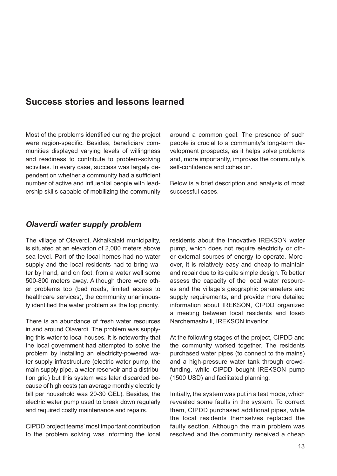## <span id="page-13-0"></span>**Success stories and lessons learned**

Most of the problems identified during the project were region-specific. Besides, beneficiary communities displayed varying levels of willingness and readiness to contribute to problem-solving activities. In every case, success was largely dependent on whether a community had a sufficient number of active and influential people with leadership skills capable of mobilizing the community around a common goal. The presence of such people is crucial to a community's long-term development prospects, as it helps solve problems and, more importantly, improves the community's self-confidence and cohesion.

Below is a brief description and analysis of most successful cases.

### *Olaverdi water supply problem*

The village of Olaverdi, Akhalkalaki municipality, is situated at an elevation of 2,000 meters above sea level. Part of the local homes had no water supply and the local residents had to bring water by hand, and on foot, from a water well some 500-800 meters away. Although there were other problems too (bad roads, limited access to healthcare services), the community unanimously identified the water problem as the top priority.

There is an abundance of fresh water resources in and around Olaverdi. The problem was supplying this water to local houses. It is noteworthy that the local government had attempted to solve the problem by installing an electricity-powered water supply infrastructure (electric water pump, the main supply pipe, a water reservoir and a distribution grid) but this system was later discarded because of high costs (an average monthly electricity bill per household was 20-30 GEL). Besides, the electric water pump used to break down regularly and required costly maintenance and repairs.

CIPDD project teams' most important contribution to the problem solving was informing the local

residents about the innovative IREKSON water pump, which does not require electricity or other external sources of energy to operate. Moreover, it is relatively easy and cheap to maintain and repair due to its quite simple design. To better assess the capacity of the local water resources and the village's geographic parameters and supply requirements, and provide more detailed information about IREKSON, CIPDD organized a meeting between local residents and Ioseb Narchemashvili, IREKSON inventor.

At the following stages of the project, CIPDD and the community worked together. The residents purchased water pipes (to connect to the mains) and a high-pressure water tank through crowdfunding, while CIPDD bought IREKSON pump (1500 USD) and facilitated planning.

Initially, the system was put in a test mode, which revealed some faults in the system. To correct them, CIPDD purchased additional pipes, while the local residents themselves replaced the faulty section. Although the main problem was resolved and the community received a cheap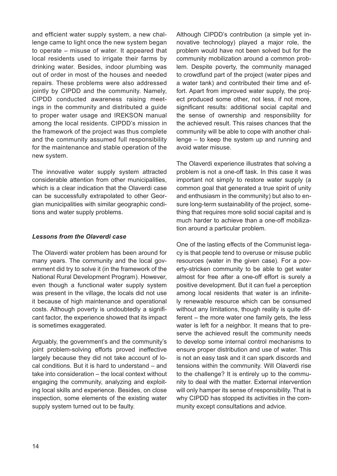and efficient water supply system, a new challenge came to light once the new system began to operate – misuse of water. It appeared that local residents used to irrigate their farms by drinking water. Besides, indoor plumbing was out of order in most of the houses and needed repairs. These problems were also addressed jointly by CIPDD and the community. Namely, CIPDD conducted awareness raising meetings in the community and distributed a guide to proper water usage and IREKSON manual among the local residents. CIPDD's mission in the framework of the project was thus complete and the community assumed full responsibility for the maintenance and stable operation of the new system.

The innovative water supply system attracted considerable attention from other municipalities, which is a clear indication that the Olaverdi case can be successfully extrapolated to other Georgian municipalities with similar geographic conditions and water supply problems.

#### *Lessons from the Olaverdi case*

The Olaverdi water problem has been around for many years. The community and the local government did try to solve it (in the framework of the National Rural Development Program). However, even though a functional water supply system was present in the village, the locals did not use it because of high maintenance and operational costs. Although poverty is undoubtedly a significant factor, the experience showed that its impact is sometimes exaggerated.

Arguably, the government's and the community's joint problem-solving efforts proved ineffective largely because they did not take account of local conditions. But it is hard to understand – and take into consideration – the local context without engaging the community, analyzing and exploiting local skills and experience. Besides, on close inspection, some elements of the existing water supply system turned out to be faulty.

Although CIPDD's contribution (a simple yet innovative technology) played a major role, the problem would have not been solved but for the community mobilization around a common problem. Despite poverty, the community managed to crowdfund part of the project (water pipes and a water tank) and contributed their time and effort. Apart from improved water supply, the project produced some other, not less, if not more, significant results: additional social capital and the sense of ownership and responsibility for the achieved result. This raises chances that the community will be able to cope with another challenge – to keep the system up and running and avoid water misuse.

The Olaverdi experience illustrates that solving a problem is not a one-off task. In this case it was important not simply to restore water supply (a common goal that generated a true spirit of unity and enthusiasm in the community) but also to ensure long-term sustainability of the project, something that requires more solid social capital and is much harder to achieve than a one-off mobilization around a particular problem.

One of the lasting effects of the Communist legacy is that people tend to overuse or misuse public resources (water in the given case). For a poverty-stricken community to be able to get water almost for free after a one-off effort is surely a positive development. But it can fuel a perception among local residents that water is an infinitely renewable resource which can be consumed without any limitations, though reality is quite different – the more water one family gets, the less water is left for a neighbor. It means that to preserve the achieved result the community needs to develop some internal control mechanisms to ensure proper distribution and use of water. This is not an easy task and it can spark discords and tensions within the community. Will Olaverdi rise to the challenge? It is entirely up to the community to deal with the matter. External intervention will only hamper its sense of responsibility. That is why CIPDD has stopped its activities in the community except consultations and advice.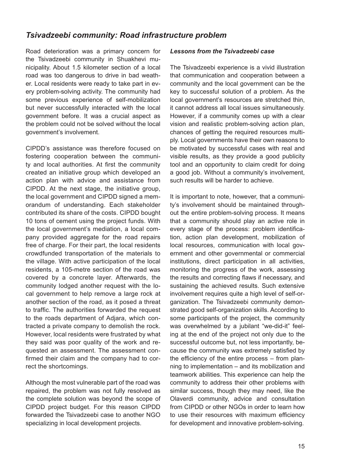### <span id="page-15-0"></span>*Tsivadzeebi community: Road infrastructure problem*

Road deterioration was a primary concern for the Tsivadzeebi community in Shuakhevi municipality. About 1.5 kilometer section of a local road was too dangerous to drive in bad weather. Local residents were ready to take part in every problem-solving activity. The community had some previous experience of self-mobilization but never successfully interacted with the local government before. It was a crucial aspect as the problem could not be solved without the local government's involvement.

CIPDD's assistance was therefore focused on fostering cooperation between the community and local authorities. At first the community created an initiative group which developed an action plan with advice and assistance from CIPDD. At the next stage, the initiative group, the local government and CIPDD signed a memorandum of understanding. Each stakeholder contributed its share of the costs. CIPDD bought 10 tons of cement using the project funds. With the local government's mediation, a local company provided aggregate for the road repairs free of charge. For their part, the local residents crowdfunded transportation of the materials to the village. With active participation of the local residents, a 105-metre section of the road was covered by a concrete layer. Afterwards, the community lodged another request with the local government to help remove a large rock at another section of the road, as it posed a threat to traffic. The authorities forwarded the request to the roads department of Adjara, which contracted a private company to demolish the rock. However, local residents were frustrated by what they said was poor quality of the work and requested an assessment. The assessment confirmed their claim and the company had to correct the shortcomings.

Although the most vulnerable part of the road was repaired, the problem was not fully resolved as the complete solution was beyond the scope of CIPDD project budget. For this reason CIPDD forwarded the Tsivadzeebi case to another NGO specializing in local development projects.

#### *Lessons from the Tsivadzeebi case*

The Tsivadzeebi experience is a vivid illustration that communication and cooperation between a community and the local government can be the key to successful solution of a problem. As the local government's resources are stretched thin, it cannot address all local issues simultaneously. However, if a community comes up with a clear vision and realistic problem-solving action plan, chances of getting the required resources multiply. Local governments have their own reasons to be motivated by successful cases with real and visible results, as they provide a good publicity tool and an opportunity to claim credit for doing a good job. Without a community's involvement, such results will be harder to achieve.

It is important to note, however, that a community's involvement should be maintained throughout the entire problem-solving process. It means that a community should play an active role in every stage of the process: problem identification, action plan development, mobilization of local resources, communication with local government and other governmental or commercial institutions, direct participation in all activities, monitoring the progress of the work, assessing the results and correcting flaws if necessary, and sustaining the achieved results. Such extensive involvement requires quite a high level of self-organization. The Tsivadzeebi community demonstrated good self-organization skills. According to some participants of the project, the community was overwhelmed by a jubilant "we-did-it" feeling at the end of the project not only due to the successful outcome but, not less importantly, because the community was extremely satisfied by the efficiency of the entire process – from planning to implementation – and its mobilization and teamwork abilities. This experience can help the community to address their other problems with similar success, though they may need, like the Olaverdi community, advice and consultation from CIPDD or other NGOs in order to learn how to use their resources with maximum efficiency for development and innovative problem-solving.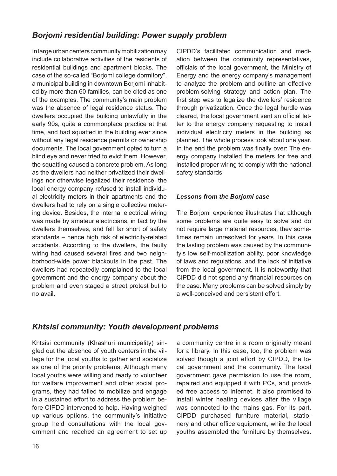## <span id="page-16-0"></span>*Borjomi residential building: Power supply problem*

In large urban centers community mobilization may include collaborative activities of the residents of residential buildings and apartment blocks. The case of the so-called "Borjomi college dormitory", a municipal building in downtown Borjomi inhabited by more than 60 families, can be cited as one of the examples. The community's main problem was the absence of legal residence status. The dwellers occupied the building unlawfully in the early 90s, quite a commonplace practice at that time, and had squatted in the building ever since without any legal residence permits or ownership documents. The local government opted to turn a blind eye and never tried to evict them. However, the squatting caused a concrete problem. As long as the dwellers had neither privatized their dwellings nor otherwise legalized their residence, the local energy company refused to install individual electricity meters in their apartments and the dwellers had to rely on a single collective metering device. Besides, the internal electrical wiring was made by amateur electricians, in fact by the dwellers themselves, and fell far short of safety standards – hence high risk of electricity-related accidents. According to the dwellers, the faulty wiring had caused several fires and two neighborhood-wide power blackouts in the past. The dwellers had repeatedly complained to the local government and the energy company about the problem and even staged a street protest but to no avail.

CIPDD's facilitated communication and mediation between the community representatives, officials of the local government, the Ministry of Energy and the energy company's management to analyze the problem and outline an effective problem-solving strategy and action plan. The first step was to legalize the dwellers' residence through privatization. Once the legal hurdle was cleared, the local government sent an official letter to the energy company requesting to install individual electricity meters in the building as planned. The whole process took about one year. In the end the problem was finally over: The energy company installed the meters for free and installed proper wiring to comply with the national safety standards.

#### *Lessons from the Borjomi case*

The Borjomi experience illustrates that although some problems are quite easy to solve and do not require large material resources, they sometimes remain unresolved for years. In this case the lasting problem was caused by the community's low self-mobilization ability, poor knowledge of laws and regulations, and the lack of initiative from the local government. It is noteworthy that CIPDD did not spend any financial resources on the case. Many problems can be solved simply by a well-conceived and persistent effort.

## *Khtsisi community: Youth development problems*

Khtsisi community (Khashuri municipality) singled out the absence of youth centers in the village for the local youths to gather and socialize as one of the priority problems. Although many local youths were willing and ready to volunteer for welfare improvement and other social programs, they had failed to mobilize and engage in a sustained effort to address the problem before CIPDD intervened to help. Having weighed up various options, the community's initiative group held consultations with the local government and reached an agreement to set up a community centre in a room originally meant for a library. In this case, too, the problem was solved though a joint effort by CIPDD, the local government and the community. The local government gave permission to use the room, repaired and equipped it with PCs, and provided free access to Internet. It also promised to install winter heating devices after the village was connected to the mains gas. For its part, CIPDD purchased furniture material, stationery and other office equipment, while the local youths assembled the furniture by themselves.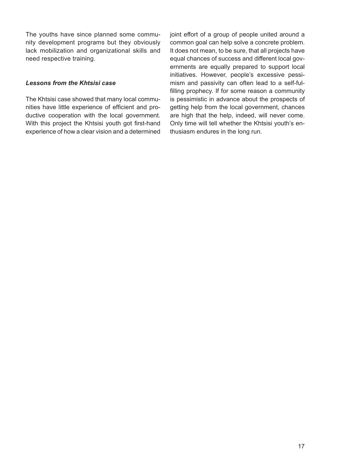The youths have since planned some community development programs but they obviously lack mobilization and organizational skills and need respective training.

#### *Lessons from the Khtsisi case*

The Khtsisi case showed that many local communities have little experience of efficient and productive cooperation with the local government. With this project the Khtsisi youth got first-hand experience of how a clear vision and a determined joint effort of a group of people united around a common goal can help solve a concrete problem. It does not mean, to be sure, that all projects have equal chances of success and different local governments are equally prepared to support local initiatives. However, people's excessive pessimism and passivity can often lead to a self-fulfilling prophecy. If for some reason a community is pessimistic in advance about the prospects of getting help from the local government, chances are high that the help, indeed, will never come. Only time will tell whether the Khtsisi youth's enthusiasm endures in the long run.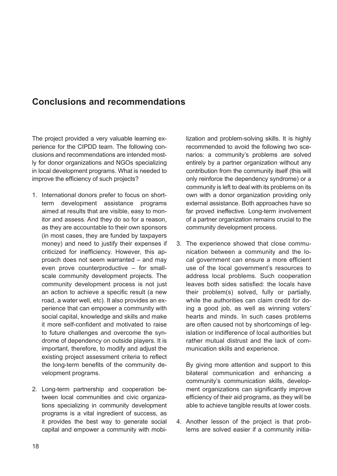## <span id="page-18-0"></span>**Conclusions and recommendations**

The project provided a very valuable learning experience for the CIPDD team. The following conclusions and recommendations are intended mostly for donor organizations and NGOs specializing in local development programs. What is needed to improve the efficiency of such projects?

- 1. International donors prefer to focus on shortterm development assistance programs aimed at results that are visible, easy to monitor and assess. And they do so for a reason, as they are accountable to their own sponsors (in most cases, they are funded by taxpayers money) and need to justify their expenses if criticized for inefficiency. However, this approach does not seem warranted – and may even prove counterproductive – for smallscale community development projects. The community development process is not just an action to achieve a specific result (a new road, a water well, etc). It also provides an experience that can empower a community with social capital, knowledge and skills and make it more self-confident and motivated to raise to future challenges and overcome the syndrome of dependency on outside players. It is important, therefore, to modify and adjust the existing project assessment criteria to reflect the long-term benefits of the community development programs.
- 2. Long-term partnership and cooperation between local communities and civic organizations specializing in community development programs is a vital ingredient of success, as it provides the best way to generate social capital and empower a community with mobi-

lization and problem-solving skills. It is highly recommended to avoid the following two scenarios: a community's problems are solved entirely by a partner organization without any contribution from the community itself (this will only reinforce the dependency syndrome) or a community is left to deal with its problems on its own with a donor organization providing only external assistance. Both approaches have so far proved ineffective. Long-term involvement of a partner organization remains crucial to the community development process.

3. The experience showed that close communication between a community and the local government can ensure a more efficient use of the local government's resources to address local problems. Such cooperation leaves both sides satisfied: the locals have their problem(s) solved, fully or partially, while the authorities can claim credit for doing a good job, as well as winning voters' hearts and minds. In such cases problems are often caused not by shortcomings of legislation or indifference of local authorities but rather mutual distrust and the lack of communication skills and experience.

By giving more attention and support to this bilateral communication and enhancing a community's communication skills, development organizations can significantly improve efficiency of their aid programs, as they will be able to achieve tangible results at lower costs.

4. Another lesson of the project is that problems are solved easier if a community initia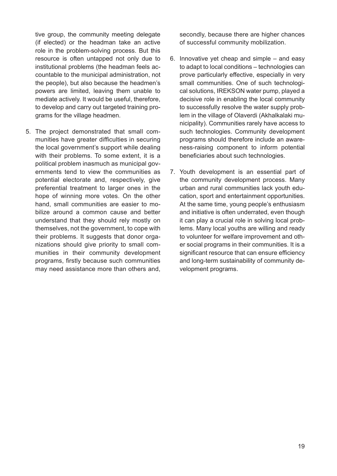tive group, the community meeting delegate (if elected) or the headman take an active role in the problem-solving process. But this resource is often untapped not only due to institutional problems (the headman feels accountable to the municipal administration, not the people), but also because the headmen's powers are limited, leaving them unable to mediate actively. It would be useful, therefore, to develop and carry out targeted training programs for the village headmen.

5. The project demonstrated that small communities have greater difficulties in securing the local government's support while dealing with their problems. To some extent, it is a political problem inasmuch as municipal governments tend to view the communities as potential electorate and, respectively, give preferential treatment to larger ones in the hope of winning more votes. On the other hand, small communities are easier to mobilize around a common cause and better understand that they should rely mostly on themselves, not the government, to cope with their problems. It suggests that donor organizations should give priority to small communities in their community development programs, firstly because such communities may need assistance more than others and, secondly, because there are higher chances of successful community mobilization.

- 6. Innovative yet cheap and simple and easy to adapt to local conditions – technologies can prove particularly effective, especially in very small communities. One of such technological solutions, IREKSON water pump, played a decisive role in enabling the local community to successfully resolve the water supply problem in the village of Olaverdi (Akhalkalaki municipality). Communities rarely have access to such technologies. Community development programs should therefore include an awareness-raising component to inform potential beneficiaries about such technologies.
- 7. Youth development is an essential part of the community development process. Many urban and rural communities lack youth education, sport and entertainment opportunities. At the same time, young people's enthusiasm and initiative is often underrated, even though it can play a crucial role in solving local problems. Many local youths are willing and ready to volunteer for welfare improvement and other social programs in their communities. It is a significant resource that can ensure efficiency and long-term sustainability of community development programs.